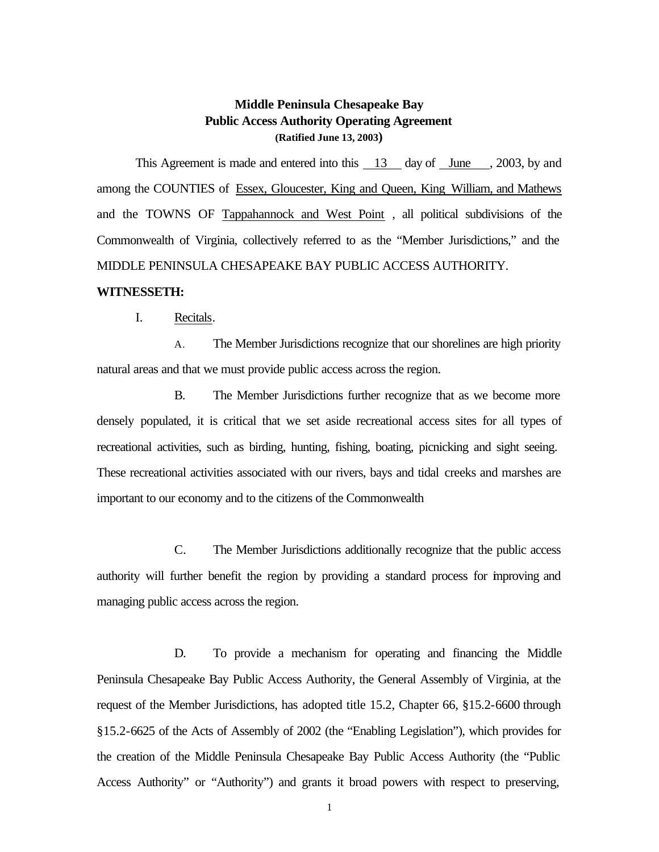# **Middle Peninsula Chesapeake Bay Public Access Authority Operating Agreement (Ratified June 13, 2003)**

This Agreement is made and entered into this 13 day of June , 2003, by and among the COUNTIES of Essex, Gloucester, King and Queen, King William, and Mathews and the TOWNS OF Tappahannock and West Point , all political subdivisions of the Commonwealth of Virginia, collectively referred to as the "Member Jurisdictions," and the MIDDLE PENINSULA CHESAPEAKE BAY PUBLIC ACCESS AUTHORITY.

## **WITNESSETH:**

I. Recitals.

A. The Member Jurisdictions recognize that our shorelines are high priority natural areas and that we must provide public access across the region.

B. The Member Jurisdictions further recognize that as we become more densely populated, it is critical that we set aside recreational access sites for all types of recreational activities, such as birding, hunting, fishing, boating, picnicking and sight seeing. These recreational activities associated with our rivers, bays and tidal creeks and marshes are important to our economy and to the citizens of the Commonwealth

 C. The Member Jurisdictions additionally recognize that the public access authority will further benefit the region by providing a standard process for improving and managing public access across the region.

D. To provide a mechanism for operating and financing the Middle Peninsula Chesapeake Bay Public Access Authority, the General Assembly of Virginia, at the request of the Member Jurisdictions, has adopted title 15.2, Chapter 66, §15.2-6600 through §15.2-6625 of the Acts of Assembly of 2002 (the "Enabling Legislation"), which provides for the creation of the Middle Peninsula Chesapeake Bay Public Access Authority (the "Public Access Authority" or "Authority") and grants it broad powers with respect to preserving,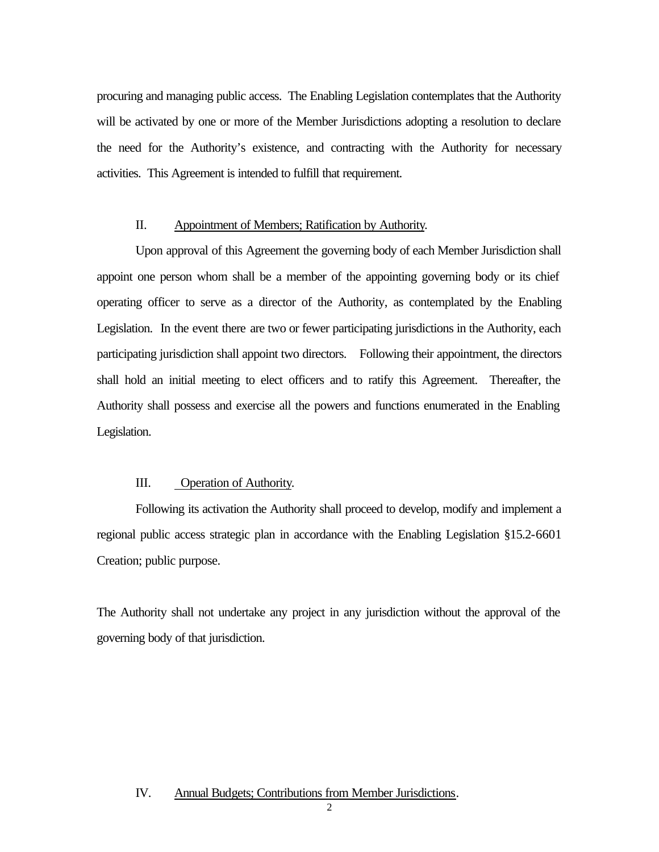procuring and managing public access. The Enabling Legislation contemplates that the Authority will be activated by one or more of the Member Jurisdictions adopting a resolution to declare the need for the Authority's existence, and contracting with the Authority for necessary activities. This Agreement is intended to fulfill that requirement.

## II. Appointment of Members; Ratification by Authority.

Upon approval of this Agreement the governing body of each Member Jurisdiction shall appoint one person whom shall be a member of the appointing governing body or its chief operating officer to serve as a director of the Authority, as contemplated by the Enabling Legislation. In the event there are two or fewer participating jurisdictions in the Authority, each participating jurisdiction shall appoint two directors. Following their appointment, the directors shall hold an initial meeting to elect officers and to ratify this Agreement. Thereafter, the Authority shall possess and exercise all the powers and functions enumerated in the Enabling Legislation.

## III. Operation of Authority.

Following its activation the Authority shall proceed to develop, modify and implement a regional public access strategic plan in accordance with the Enabling Legislation §15.2-6601 Creation; public purpose.

The Authority shall not undertake any project in any jurisdiction without the approval of the governing body of that jurisdiction.

#### IV. Annual Budgets; Contributions from Member Jurisdictions.

 $\mathfrak{D}$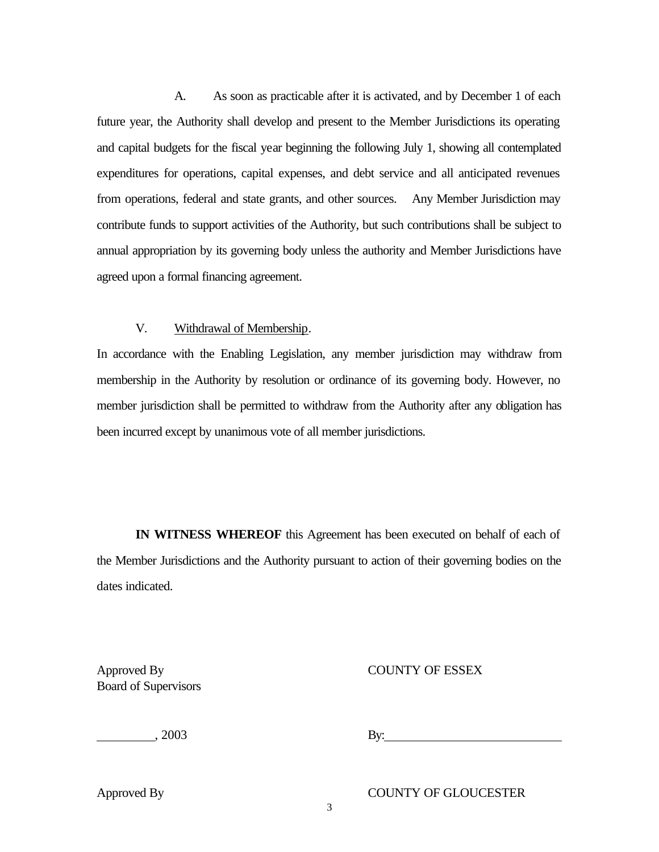A. As soon as practicable after it is activated, and by December 1 of each future year, the Authority shall develop and present to the Member Jurisdictions its operating and capital budgets for the fiscal year beginning the following July 1, showing all contemplated expenditures for operations, capital expenses, and debt service and all anticipated revenues from operations, federal and state grants, and other sources. Any Member Jurisdiction may contribute funds to support activities of the Authority, but such contributions shall be subject to annual appropriation by its governing body unless the authority and Member Jurisdictions have agreed upon a formal financing agreement.

## V. Withdrawal of Membership.

In accordance with the Enabling Legislation, any member jurisdiction may withdraw from membership in the Authority by resolution or ordinance of its governing body. However, no member jurisdiction shall be permitted to withdraw from the Authority after any obligation has been incurred except by unanimous vote of all member jurisdictions.

**IN WITNESS WHEREOF** this Agreement has been executed on behalf of each of the Member Jurisdictions and the Authority pursuant to action of their governing bodies on the dates indicated.

Board of Supervisors

Approved By COUNTY OF ESSEX

**EXECUTE:** 2003 **By:** 

Approved By COUNTY OF GLOUCESTER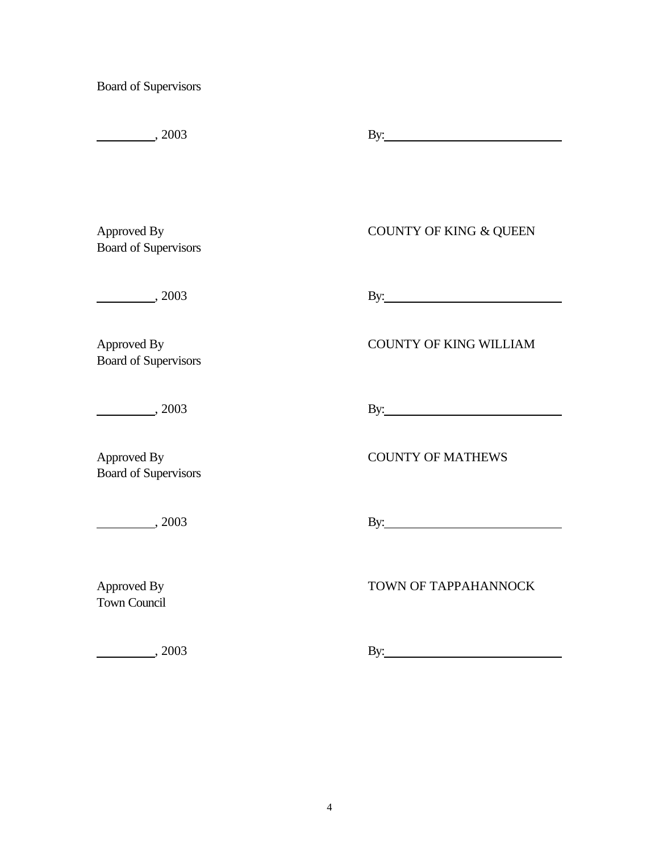Board of Supervisors

| $\frac{1}{2003}$                           | By: $\qquad \qquad$                                                                                                                                                                                                            |
|--------------------------------------------|--------------------------------------------------------------------------------------------------------------------------------------------------------------------------------------------------------------------------------|
| Approved By<br><b>Board of Supervisors</b> | <b>COUNTY OF KING &amp; QUEEN</b>                                                                                                                                                                                              |
| $\frac{1}{2003}$                           | By: The contract of the contract of the contract of the contract of the contract of the contract of the contract of the contract of the contract of the contract of the contract of the contract of the contract of the contra |
| Approved By<br><b>Board of Supervisors</b> | <b>COUNTY OF KING WILLIAM</b>                                                                                                                                                                                                  |
| $\frac{1}{2003}$                           | By: $\qquad \qquad$                                                                                                                                                                                                            |
| Approved By<br><b>Board of Supervisors</b> | <b>COUNTY OF MATHEWS</b>                                                                                                                                                                                                       |
| $\frac{1}{2003}$                           | By: $\qquad \qquad$                                                                                                                                                                                                            |
| Approved By<br><b>Town Council</b>         | TOWN OF TAPPAHANNOCK                                                                                                                                                                                                           |

**and the set of the set of the set of the set of the set of the set of the set of the set of the set of the set of the set of the set of the set of the set of the set of the set of the set of the set of the set of the set**